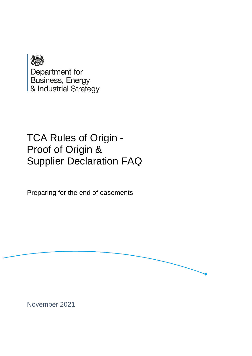

# TCA Rules of Origin - Proof of Origin & Supplier Declaration FAQ

Preparing for the end of easements



November 2021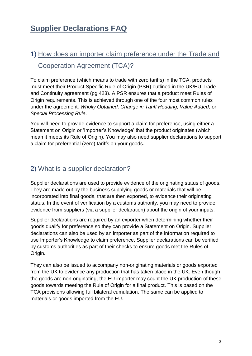## **Supplier Declarations FAQ**

## 1) How does an importer claim preference under the Trade and Cooperation Agreement (TCA)?

To claim preference (which means to trade with zero tariffs) in the TCA, products must meet their Product Specific Rule of Origin (PSR) outlined in the UK/EU Trade and Continuity agreement (pg.423). A PSR ensures that a product meet Rules of Origin requirements. This is achieved through one of the four most common rules under the agreement: *Wholly Obtained, Change in Tariff Heading, Value Added,* or *Special Processing Rule*.

You will need to provide evidence to support a claim for preference, using either a Statement on Origin or 'Importer's Knowledge' that the product originates (which mean it meets its Rule of Origin). You may also need supplier declarations to support a claim for preferential (zero) tariffs on your goods.

#### 2) What is a supplier declaration?

Supplier declarations are used to provide evidence of the originating status of goods. They are made out by the business supplying goods or materials that will be incorporated into final goods, that are then exported, to evidence their originating status. In the event of verification by a customs authority, you may need to provide evidence from suppliers (via a supplier declaration) about the origin of your inputs.

Supplier declarations are required by an exporter when determining whether their goods qualify for preference so they can provide a Statement on Origin. Supplier declarations can also be used by an importer as part of the information required to use Importer's Knowledge to claim preference. Supplier declarations can be verified by customs authorities as part of their checks to ensure goods met the Rules of Origin.

They can also be issued to accompany non-originating materials or goods exported from the UK to evidence any production that has taken place in the UK. Even though the goods are non-originating, the EU importer may count the UK production of these goods towards meeting the Rule of Origin for a final product. This is based on the TCA provisions allowing full bilateral cumulation. The same can be applied to materials or goods imported from the EU.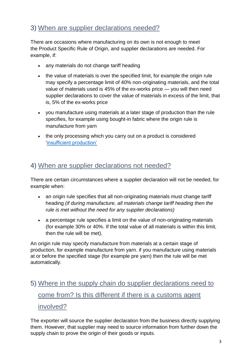#### 3) When are supplier declarations needed?

There are occasions where manufacturing on its own is not enough to meet the Product Specific Rule of Origin, and supplier declarations are needed. For example, if:

- any materials do not change tariff heading
- the value of materials is over the specified limit, for example the origin rule may specify a percentage limit of 40% non-originating materials, and the total value of materials used is 45% of the ex-works price — you will then need supplier declarations to cover the value of materials in excess of the limit, that is, 5% of the ex-works price
- you manufacture using materials at a later stage of production than the rule specifies, for example using bought-in fabric where the origin rule is manufacture from yarn
- the only processing which you carry out on a product is considered ['insufficient production'](https://www.gov.uk/guidance/insufficient-production-for-manufacturing-and-agri-food-processes-when-trading-between-the-uk-and-eu)

#### 4) When are supplier declarations not needed?

There are certain circumstances where a supplier declaration will not be needed, for example when:

- an origin rule specifies that all non-originating materials must change tariff heading *(if during manufacture, all materials change tariff heading then the rule is met without the need for any supplier declarations)*
- a percentage rule specifies a limit on the value of non-originating materials (for example 30% or 40%. If the total value of all materials is within this limit, then the rule will be met).

An origin rule may specify manufacture from materials at a certain stage of production, for example manufacture from yarn. if you manufacture using materials at or before the specified stage (for example pre yarn) then the rule will be met automatically.

## 5) Where in the supply chain do supplier declarations need to come from? Is this different if there is a customs agent involved?

The exporter will source the supplier declaration from the business directly supplying them. However, that supplier may need to source information from further down the supply chain to prove the origin of their goods or inputs.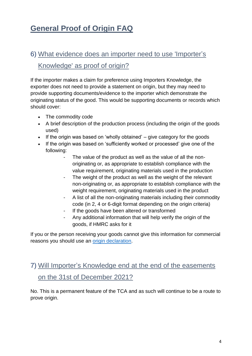## **General Proof of Origin FAQ**

## 6) What evidence does an importer need to use 'Importer's Knowledge' as proof of origin?

If the importer makes a claim for preference using Importers Knowledge, the exporter does not need to provide a statement on origin, but they may need to provide supporting documents/evidence to the importer which demonstrate the originating status of the good. This would be supporting documents or records which should cover:

- The commodity code
- A brief description of the production process (including the origin of the goods used)
- If the origin was based on 'wholly obtained'  $-$  give category for the goods
- If the origin was based on 'sufficiently worked or processed' give one of the following:
	- The value of the product as well as the value of all the nonoriginating or, as appropriate to establish compliance with the value requirement, originating materials used in the production
	- The weight of the product as well as the weight of the relevant non-originating or, as appropriate to establish compliance with the weight requirement, originating materials used in the product
	- A list of all the non-originating materials including their commodity code (in 2, 4 or 6-digit format depending on the origin criteria)
	- If the goods have been altered or transformed
	- Any additional information that will help verify the origin of the goods, if HMRC asks for it

If you or the person receiving your goods cannot give this information for commercial reasons you should use an origin [declaration.](https://www.gov.uk/guidance/get-proof-of-origin-for-your-goods#origin-declaration)

## 7) Will Importer's Knowledge end at the end of the easements on the 31st of December 2021?

No. This is a permanent feature of the TCA and as such will continue to be a route to prove origin.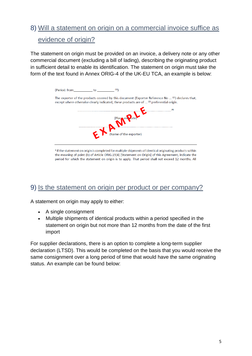### 8) Will a statement on origin on a commercial invoice suffice as evidence of origin?

The statement on origin must be provided on an invoice, a delivery note or any other commercial document (excluding a bill of lading), describing the originating product in sufficient detail to enable its identification. The statement on origin must take the form of the text found in Annex ORIG-4 of the UK-EU TCA, an example is below:

| (1)<br>(Period: from<br>to                                                                                                                                                                            |
|-------------------------------------------------------------------------------------------------------------------------------------------------------------------------------------------------------|
| The exporter of the products covered by this document (Exporter Reference No $\ldots$ (2) declares that,<br>except where otherwise clearly indicated, these products are of  (3) preferential origin. |
|                                                                                                                                                                                                       |
| (Place and Late)<br>Name of the exporter)                                                                                                                                                             |
|                                                                                                                                                                                                       |

<sup>1</sup> If the statement on origin is completed for multiple shipments of identical originating products within the meaning of point (b) of Article ORIG.19(4) [Statement on Origin] of this Agreement, indicate the period for which the statement on origin is to apply. That period shall not exceed 12 months. All

#### 9) Is the statement on origin per product or per company?

A statement on origin may apply to either:

- A single consignment
- Multiple shipments of identical products within a period specified in the statement on origin but not more than 12 months from the date of the first import

For supplier declarations, there is an option to complete a long-term supplier declaration (LTSD). This would be completed on the basis that you would receive the same consignment over a long period of time that would have the same originating status. An example can be found below: